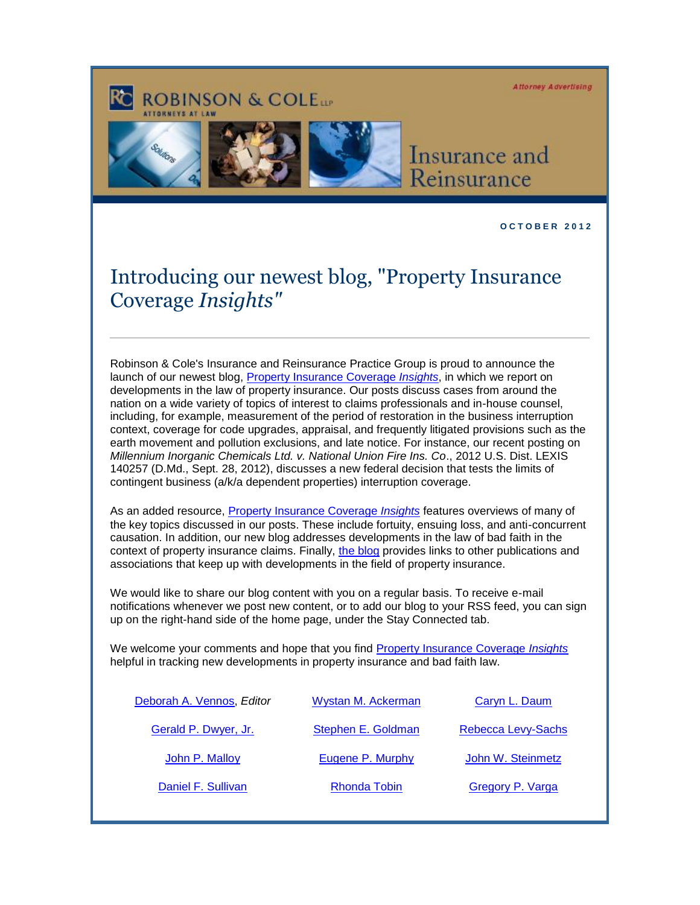**Attorney Advertising** 

## **ROBINSON & COLETT**





## Insurance and Reinsurance

## **O C T O B E R 2 0 1 2**

## Introducing our newest blog, "Property Insurance Coverage *Insights"*

Robinson & Cole's Insurance and Reinsurance Practice Group is proud to announce the launch of our newest blog, [Property Insurance Coverage](http://www.propertyinsurancecoverageinsights.com/) *Insights*, in which we report on developments in the law of property insurance. Our posts discuss cases from around the nation on a wide variety of topics of interest to claims professionals and in-house counsel, including, for example, measurement of the period of restoration in the business interruption context, coverage for code upgrades, appraisal, and frequently litigated provisions such as the earth movement and pollution exclusions, and late notice. For instance, our recent posting on *Millennium Inorganic Chemicals Ltd. v. National Union Fire Ins. Co*., 2012 U.S. Dist. LEXIS 140257 (D.Md., Sept. 28, 2012), discusses a new federal decision that tests the limits of contingent business (a/k/a dependent properties) interruption coverage.

As an added resource, Property [Insurance Coverage](http://www.propertyinsurancecoverageinsights.com/) *Insights* features overviews of many of the key topics discussed in our posts. These include fortuity, ensuing loss, and anti-concurrent causation. In addition, our new blog addresses developments in the law of bad faith in the context of property insurance claims. Finally, [the blog](http://www.propertyinsurancecoverageinsights.com/) provides links to other publications and associations that keep up with developments in the field of property insurance.

We would like to share our blog content with you on a regular basis. To receive e-mail notifications whenever we post new content, or to add our blog to your RSS feed, you can sign up on the right-hand side of the home page, under the Stay Connected tab.

We welcome your comments and hope that you find [Property Insurance Coverage](http://www.propertyinsurancecoverageinsights.com/) *Insights* helpful in tracking new developments in property insurance and bad faith law.

| Deborah A. Vennos, Editor | Wystan M. Ackerman  | Caryn L. Daum      |
|---------------------------|---------------------|--------------------|
| Gerald P. Dwyer, Jr.      | Stephen E. Goldman  | Rebecca Levy-Sachs |
| John P. Malloy            | Eugene P. Murphy    | John W. Steinmetz  |
| Daniel F. Sullivan        | <b>Rhonda Tobin</b> | Gregory P. Varga   |